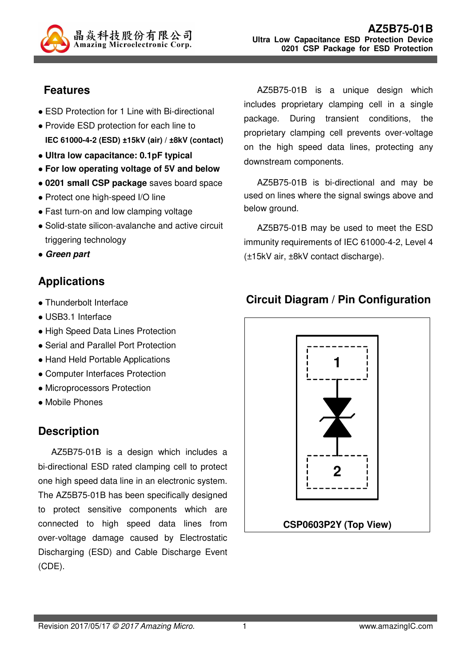

# **Features**

- ESD Protection for 1 Line with Bi-directional
- Provide ESD protection for each line to **IEC 61000-4-2 (ESD) ±15kV (air) / ±8kV (contact)**
- **Ultra low capacitance: 0.1pF typical**
- **For low operating voltage of 5V and below**
- **0201 small CSP package** saves board space
- Protect one high-speed I/O line
- Fast turn-on and low clamping voltage
- Solid-state silicon-avalanche and active circuit triggering technology
- **Green part**

# **Applications**

- Thunderbolt Interface
- USB3.1 Interface
- High Speed Data Lines Protection
- Serial and Parallel Port Protection
- Hand Held Portable Applications
- Computer Interfaces Protection
- Microprocessors Protection
- Mobile Phones

# **Description**

AZ5B75-01B is a design which includes a bi-directional ESD rated clamping cell to protect one high speed data line in an electronic system. The AZ5B75-01B has been specifically designed to protect sensitive components which are connected to high speed data lines from over-voltage damage caused by Electrostatic Discharging (ESD) and Cable Discharge Event (CDE).

AZ5B75-01B is a unique design which includes proprietary clamping cell in a single package. During transient conditions, the proprietary clamping cell prevents over-voltage on the high speed data lines, protecting any downstream components.

AZ5B75-01B is bi-directional and may be used on lines where the signal swings above and below ground.

AZ5B75-01B may be used to meet the ESD immunity requirements of IEC 61000-4-2, Level 4 (±15kV air, ±8kV contact discharge).

## **Circuit Diagram / Pin Configuration**

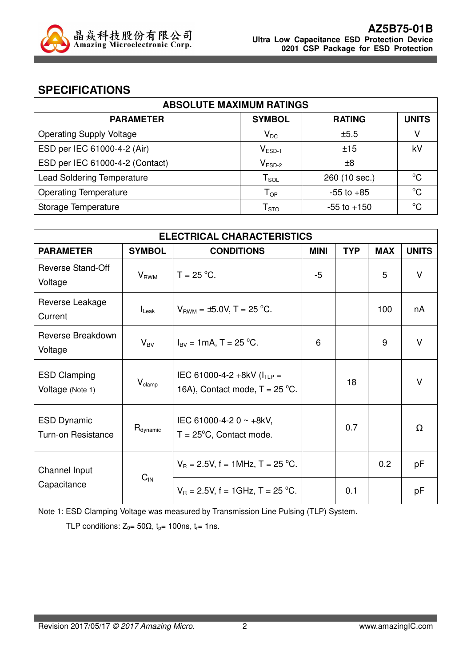

### **SPECIFICATIONS**

| <b>ABSOLUTE MAXIMUM RATINGS</b>   |                            |                 |              |  |
|-----------------------------------|----------------------------|-----------------|--------------|--|
| <b>PARAMETER</b>                  | <b>SYMBOL</b>              | <b>RATING</b>   | <b>UNITS</b> |  |
| <b>Operating Supply Voltage</b>   | $\mathsf{V}_\mathsf{DC}$   | ±5.5            |              |  |
| ESD per IEC 61000-4-2 (Air)       | $V_{ESD-1}$                | ±15             | kV           |  |
| ESD per IEC 61000-4-2 (Contact)   | $V_{ESD-2}$                | ±8              |              |  |
| <b>Lead Soldering Temperature</b> | ${\sf T}_{\sf SOL}$        | 260 (10 sec.)   | $^{\circ}C$  |  |
| <b>Operating Temperature</b>      | $\mathsf{T}_{\mathsf{OP}}$ | $-55$ to $+85$  | $^{\circ}C$  |  |
| Storage Temperature               | ${\mathsf T}_{\text{STO}}$ | $-55$ to $+150$ | $^{\circ}C$  |  |

| <b>ELECTRICAL CHARACTERISTICS</b>               |                         |                                                                      |             |            |            |              |
|-------------------------------------------------|-------------------------|----------------------------------------------------------------------|-------------|------------|------------|--------------|
| <b>PARAMETER</b>                                | <b>SYMBOL</b>           | <b>CONDITIONS</b>                                                    | <b>MINI</b> | <b>TYP</b> | <b>MAX</b> | <b>UNITS</b> |
| <b>Reverse Stand-Off</b><br>Voltage             | <b>V</b> <sub>RWM</sub> | $T = 25 °C$ .                                                        | $-5$        |            | 5          | $\vee$       |
| Reverse Leakage<br>Current                      | $I_{\text{Leak}}$       | $V_{BWM} = \pm 5.0 V$ , T = 25 °C.                                   |             |            | 100        | nA           |
| Reverse Breakdown<br>Voltage                    | $V_{BV}$                | $I_{\text{BV}} = 1 \text{mA}, T = 25 \text{ °C}.$                    | 6           |            | 9          | $\vee$       |
| <b>ESD Clamping</b><br>Voltage (Note 1)         | $V_{\text{clamp}}$      | IEC 61000-4-2 +8kV ( $I_{TLP}$ =<br>16A), Contact mode, $T = 25$ °C. |             | 18         |            | V            |
| <b>ESD Dynamic</b><br><b>Turn-on Resistance</b> | $R_{\text{dynamic}}$    | IEC 61000-4-2 0 ~ +8kV,<br>$T = 25^{\circ}C$ , Contact mode.         |             | 0.7        |            | Ω            |
| Channel Input                                   |                         | $V_B = 2.5V$ , f = 1MHz, T = 25 °C.                                  |             |            | 0.2        | рF           |
| Capacitance                                     | $C_{\text{IN}}$         | $V_B = 2.5V$ , f = 1GHz, T = 25 °C.                                  |             | 0.1        |            | рF           |

Note 1: ESD Clamping Voltage was measured by Transmission Line Pulsing (TLP) System.

TLP conditions:  $Z_0 = 50\Omega$ ,  $t_p = 100$ ns,  $t_r = 1$ ns.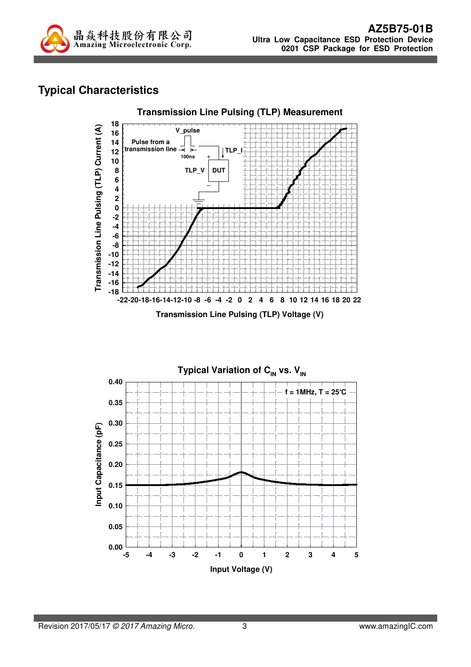

# **Typical Characteristics**



**Transmission Line Pulsing (TLP) Voltage (V)**

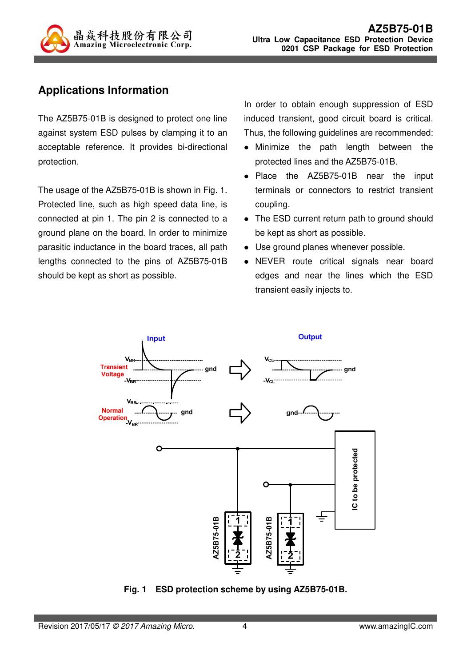

## **Applications Information**

The AZ5B75-01B is designed to protect one line against system ESD pulses by clamping it to an acceptable reference. It provides bi-directional protection.

The usage of the AZ5B75-01B is shown in Fig. 1. Protected line, such as high speed data line, is connected at pin 1. The pin 2 is connected to a ground plane on the board. In order to minimize parasitic inductance in the board traces, all path lengths connected to the pins of AZ5B75-01B should be kept as short as possible.

In order to obtain enough suppression of ESD induced transient, good circuit board is critical. Thus, the following guidelines are recommended:

- Minimize the path length between the protected lines and the AZ5B75-01B.
- Place the AZ5B75-01B near the input terminals or connectors to restrict transient coupling.
- The ESD current return path to ground should be kept as short as possible.
- Use ground planes whenever possible.
- NEVER route critical signals near board edges and near the lines which the ESD transient easily injects to.



**Fig. 1 ESD protection scheme by using AZ5B75-01B.**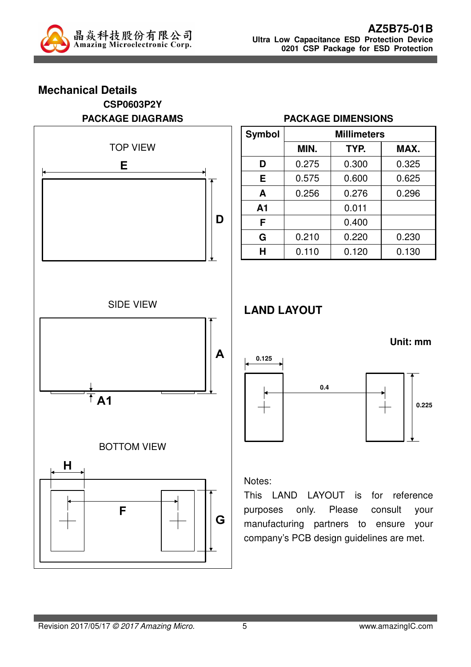

### **Mechanical Details CSP0603P2Y PACKAGE DIAGRAMS**



### **PACKAGE DIMENSIONS**

| <b>Symbol</b>  | <b>Millimeters</b> |       |       |  |
|----------------|--------------------|-------|-------|--|
|                | MIN.               | TYP.  | MAX.  |  |
| D              | 0.275              | 0.300 | 0.325 |  |
| Е              | 0.575              | 0.600 | 0.625 |  |
| A              | 0.256              | 0.276 | 0.296 |  |
| A <sub>1</sub> |                    | 0.011 |       |  |
| F              |                    | 0.400 |       |  |
| G              | 0.210              | 0.220 | 0.230 |  |
| н              | 0.110              | 0.120 | 0.130 |  |

## **LAND LAYOUT**



#### Notes:

This LAND LAYOUT is for reference purposes only. Please consult your manufacturing partners to ensure your company's PCB design guidelines are met.